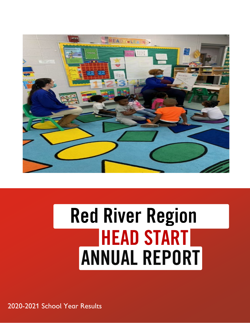

# Red River Region HEAD START ANNUAL REPORT

2020-2021 School Year Results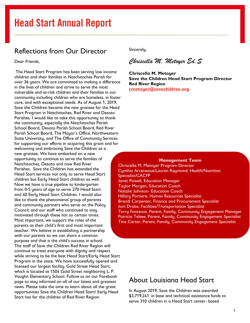### Reflections from Our Director

Dear Friends,

The Head Start Program has been serving low income children and their families in Natchitoches Parish for over 36 years. We are committed to making a difference in the lives of children and strive to serve the most vulnerable and at-risk children and their families in our community including children who are homeless, in foster care, and with exceptional needs. As of August 1, 2019, Save the Children became the new grantee for the Head Start Program in Natchitoches, Red River and Desoto Parishes. I would like to take this opportunity to thank the community, especially the Natchitoches Parish School Board, Desoto Parish School Board, Red River Parish School Board, The Mayor's Office, Northwestern State University, and The Office of Community Services for supporting our efforts in acquiring this grant and for welcoming and embracing Save the Children as a new grantee. We have embarked on a new opportunity to continue to serve the families of Natchitoches, Desoto and now Red River Parishes. Save the Children has extended the Head Start services not only to serve Head Start children but Early Head Start children as well. Now we have a true pipeline to kindergarten from 0-5 years of age to serve 270 Head Start and 40 Early Head Start Children. I would also like to thank the phenomenal group of parents and community partners who serve on the Policy Council; and our staff who continued to stay motivated through these not so certain times. Most important, we support the roles of the parents as their child's first and most important teacher. We believe in establishing a partnership with our parents so we can share a common purpose and that is the child's success in school. The staff of Save the Children Red River Region will continue to treat everyone with dignity and respect while striving to be the best Head Start/Early Head Start Program in the state. We have successfully opened and licensed our largest facility, Gold Street Head Start, which is located at 1504 Gold Street neighboring L. P. Vaughn Elementary School. Follow us on our Facebook page to stay informed on all of our latest and greatest news. Please take the time to learn about all the great opportunities Save the Children Head Start/ Early Head Start has for the children of Red River Region.

Sincerely,

*Chriscella M. Metoyer Ed.S* 

**Chriscella M. Metoyer Save the Children Head Start Program Director Red River Region [cmetoyer@savechildren.org](mailto:cmetoyer@savechildren.org)**

#### **Management Team**

Chriscella M. Metoyer Program Director Cynthia Arceneaux/Lauren Raymond, Health/Nutrition Specialist/CACFP Janet Powell, Education Manager Taylor Morgan, Education Coach Natalie Johnson- Education Coach Hillary Portiere, Human Resources Specialist Brandi Carpenter, Finance and Procurement Specialist Joni Drake, Facilities/Transportation Specialist Terry Fontenot, Parent, Family, Community Engagement Manager Patricia Telsee, Parent, Family, Community Engagement Specialist Tina Carter, Parent, Family, Community Engagement Specialist

### About Louisiana Head Start

In August 2019, Save the Children was awarded \$3,719,241 in base and technical assistance funds to serve 310 children in a Head Start center- based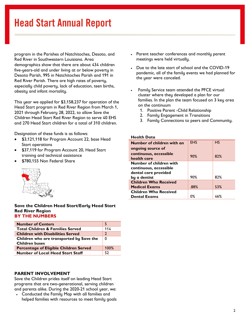program in the Parishes of Natchitoches, Desoto, and Red River in Southwestern Louisiana. Area demographics show that there are about 434 children five-years-old and under living at or below poverty in Desoto Parish, 995 in Natchitoches Parish and 191 in Red River Parish. There are high rates of poverty, especially child poverty, lack of education, teen births, obesity and infant mortality.

This year we applied for \$3,158,237 for operation of the Head Start program in Red River Region from March 1, 2021 through February 28, 2022, to allow Save the Children Head Start Red River Region to serve 40 EHS and 270 Head Start children for a total of 310 children.

Designation of these funds is as follows:

- \$3,121,118 for Program Account 22, base Head Start operations
- \$37,119 for Program Account 20, Head Start training and technical assistance
- \$780,155 Non Federal Share



#### **Save the Children Head Start/Early Head Start Red River Region BY THE NUMBERS**

| <b>Number of Centers</b>                      |               |
|-----------------------------------------------|---------------|
| <b>Total Children &amp; Families Served</b>   | 114           |
| <b>Children with Disabilities Served</b>      | $\mathfrak z$ |
| Children who are transported by Save the      | 0             |
| <b>Children buses</b>                         |               |
| <b>Percentage of Eligible Children Served</b> | 100%          |
| <b>Number of Local Head Start Staff</b>       | 52            |

### **PARENT INVOLVEMENT**

Save the Children prides itself on leading Head Start programs that are two-generational, serving children and parents alike. During the 2020-21 school year, we:

• Conducted the Family Map with all families and helped families with resources to meet family goals

- Parent teacher conferences and monthly parent meetings were held virtually.
- Due to the late start of school and the COVID-19 pandemic, all of the family events we had planned for the year were canceled.
- Family Service team attended the PFCE virtual cluster where they developed a plan for our families. In the plan the team focused on 3 key area on the continuum
	- 1. Positive Parent -Child Relationship
	- 2. Family Engagement in Transitions
	- 3. Family Connections to peers and Community.

#### **Health Data**

| Number of children with an   | <b>EHS</b> | HS  |
|------------------------------|------------|-----|
| ongoing source of            |            |     |
| continuous, accessible       | 90%        | 82% |
| health care                  |            |     |
| Number of children with      |            |     |
| continuous, accessible       |            |     |
| dental care provided         |            |     |
| by a dentist                 | 90%        | 82% |
| <b>Children Who Received</b> |            |     |
| <b>Medical Exams</b>         | .88%       | 53% |
| <b>Children Who Received</b> |            |     |
| <b>Dental Exams</b>          | 0%         | 46% |
|                              |            |     |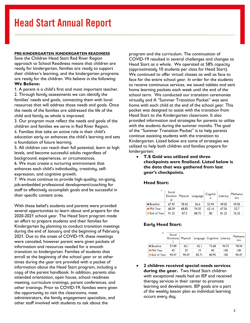#### **PRE-KINDERGARTEN /KINDERGARTEN READINESS**

Save the Children Head Start Red River Region approach to School Readiness means that children are ready for kindergarten, families are ready to support their children's learning, and the kindergarten programs are ready for the children. We believe in the following: **We Believe:**

1. A parent is a child's first and most important teacher. 2. Through family assessments we can identify the families' needs and goals, connecting them with local resources that will address those needs and goals. Once the needs of the families are addressed the life of the child and family as whole is improved.

3. Our program must reflect the needs and goals of the children and families we serve in Red River Region. 4. Families that take an active role in their child's education early on enhances the child's learning and sets a foundation of future learning.

5. All children can reach their full potential, learn at high levels, and become successful adults regardless of background, experiences, or circumstances.

6. We must create a nurturing environment that enhances each child's individuality, creativity, selfexpression, and cognitive growth.

7. We must continue to provide high-quality; on-going, job-embedded professional development/coaching for staff to effectively accomplish goals and be successful in their specific content area.

With these belief's students and parents were provided several opportunities to learn about and prepare for the 2020-2021 school year. The Head Start program made an effort to prepare students and their families for Kindergarten by planning to conduct transition meetings during the end of January and the beginning of February 2021. Due to the onset of COVID-19, these meetings were canceled, however parent were given packets of information and resources needed for a smooth transition to kindergarten. Families of students that enroll at the beginning of the school year or at other times during the year are provided with a packet of information about the Head Start program, including a copy of the parent handbook. In addition, parents also attended orientation, open house, school readiness meeting, curriculum trainings, parent conferences, and other trainings. Prior to COVID-19, families were given the opportunity to visit the classrooms, meet administrators, the family engagement specialists, and other staff involved with students to ask about the

program and the curriculum. The continuation of COVID-19 resulted in several challenges and changes to Head Start as a whole. We operated at 58% capacity (approximately 10 students per class for Head Start). We continued to offer virtual classes as well as face to face for the entire school year. In order for the students to receive continuous services, we issued tablets and sent home learning packets each week until the end of the school term. We conducted our transition ceremonies virtually and A "Summer Transition Packet" was sent home with each child at the end of the school year. This packet was designed to assist with the transition from Head Start to the Kindergarten classroom. It also provided information and strategies for parents to utilize with the students during the summer months. The goal of the "Summer Transition Packet" is to help parents continue assisting students with the transition to Kindergarten. Listed below are some of strategies we utilized to help both children and families prepare for kindergarten:

• **T.S Gold was utilized and three checkpoints were finalized. Listed below is the data that was gathered from last year's checkpoints.** 

#### **Head Start:**

| $\check{ }$   | Social<br>Emotion<br>al | Physical | Language | Cognitiv<br>e | Literacy | Mathema<br>tics |
|---------------|-------------------------|----------|----------|---------------|----------|-----------------|
| ■ Baseline    | 67.92                   | 78.43    | 56.6     | 52.94         | 49.05    | 49.05           |
| ■ Mid Year    | 68.29                   | 68.83    | 74.35    | 62.16         | 67.56    | 52.7            |
| ■ End of Year | 91.25                   | 87.5     | 88.75    | 80            | 81.25    | 76.25           |

### **Early Head Start:**

| v             | Social<br>Emotiona | Physical |       | Language   Cognitive | Literacy | Mathema<br>tics |
|---------------|--------------------|----------|-------|----------------------|----------|-----------------|
| ■ Baseline    | 57.89              | 42.1     | 42. I | 73.68                | 94.73    | 78.94           |
| ■ Mid Year    | 45                 | 35       | 15    | 40                   | 100      | 100             |
| ■ End of Year | 90.47              | 90.47    | 85.71 | 80.95                | 100      | 90.47           |

• **2 children received special needs services during the year.** Two Head Start children with exceptional needs had an IEP and received therapy services in their center to promote learning and development. IEP goals are a part of the weekly lesson plan so individual learning occurs every day.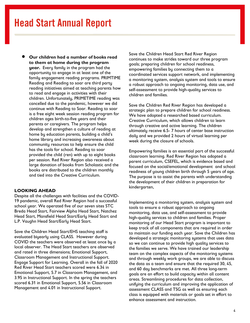• **Our children had a number of books read to them at home during the program year.** Every family in the program had the opportunity to engage in at least one of the family engagement reading programs. PRIMTIME Reading and Reading to soar are third party reading initiatives aimed at teaching parents how to read and engage in activities with their children. Unfortunately, PRIMETIME reading was cancelled due to the pandemic, however we did continue with Reading to Soar. Reading to soar is a free eight week session reading program for children ages birth-to-five years and their parents or caregivers. The program helps develop and strengthen a culture of reading at home by education parents, building a child's home library and increasing awareness about community resources to help ensure the child has the tools for school. Reading to soar provided the child (ren) with up to eight books per session. Red River Region also received a large donation of books from Scholastic and the books are distributed to the children monthly and tied into the Creative Curriculum.

#### **LOOKING AHEAD**

Despite all the challenges with facilities and the COVID-19 pandemic, overall Red River Region had a successful school year. We operated five of our seven sites STC Breda Head Start, Fairview Alpha Head Start, Natchez Head Start, Mansfield Head Start/Early Head Start and L.P. Vaughn Head Start/Early Head Start.

Save the Children Head Start/EHS teaching staff is evaluated biyearly using CLASS. However during COVID the teachers were observed at least once by a local observer. The Head Start teachers are observed and rated in three dimensions; Emotional Support, Classroom Management and Instructional Support. Engage Support for Learning. Overall in the fall of 2020 Red River Head Start teachers scored were 6.34 in Emotional Support, 5.7 in Classroom Management, and 3.95 in Instructional Support. In the spring the teachers scored 6.31 in Emotional Support, 5.56 in Classroom Management and 4.01 in Instructional Support.

Save the Children Head Start Red River Region continues to make strides toward our three program goals; preparing children for school readiness, empowering families by connecting them to a coordinated services support network, and implementing a monitoring system, analysis system and tools to ensure a robust approach to ongoing monitoring, data use, and self-assessment to provide high-quality services to children and families.

Save the Children Red River Region has developed a strategic plan to prepare children for school readiness. We have adopted a researched based curriculum. Creative Curriculum, which allows children to learn through creative and active learning. The children ultimately receive 6.5- 7 hours of center base instruction daily and we provided 2 hours of virtual learning per week during the closure of schools.

Empowering families is an essential part of the successful classroom learning. Red River Region has adopted a parent curriculum, CSEFEL, which is evidence based and focused on the social/emotional development and school readiness of young children birth through 5 years of age. The purpose is to assist the parents with understanding the development of their children in preparation for kindergarten,

Implementing a monitoring system, analysis system and tools to ensure a robust approach to ongoing monitoring, data use, and self-assessment to provide high-quality services to children and families. Proper monitoring of our Head Start program is important to keep track of all components that are required in order to maintain our funding each year. Save the Children has developed a strategic monitoring systems that uses data so we can continue to provide high quality services to the families we serve. We have trained our leadership team on the complex aspects of the monitoring systems and through weekly work groups, we are able to discuss the data as a team and ensure that the required 30, 45, and 60 day benchmarks are met. All three long-term goals are an effort to build capacity within all content areas. Streamlining procedures for data collection, unifying the curriculum and improving the application of assessment CLASS and TSG as well as ensuring each class is equipped with materials or goals set in effort to enhance assessment and instruction.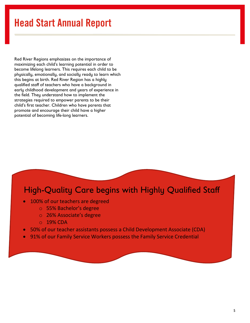Red River Regions emphasizes on the importance of maximizing each child's learning potential in order to become lifelong learners. This requires each child to be physically, emotionally, and socially ready to learn which this begins at birth. Red River Region has a highly qualified staff of teachers who have a background in early childhood development and years of experience in the field. They understand how to implement the strategies required to empower parents to be their child's first teacher. Children who have parents that promote and encourage their child have a higher potential of becoming life-long learners.

### High-Quality Care begins with Highly Qualified Staff

- 100% of our teachers are degreed
	- o 55% Bachelor's degree
	- o 26% Associate's degree
	- o 19% CDA
- 50% of our teacher assistants possess a Child Development Associate (CDA)
- 91% of our Family Service Workers possess the Family Service Credential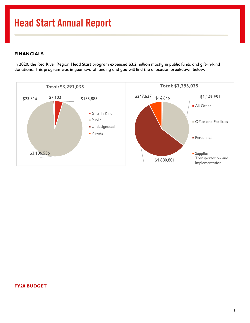### **FINANCIALS**

In 2020, the Red River Region Head Start program expensed \$3.2 million mostly in public funds and gift-in-kind donations. This program was in year two of funding and you will find the allocation breakdown below.



### **FY20 BUDGET**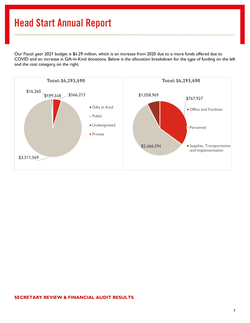Our Fiscal year 2021 budget is \$4.29 million, which is an increase from 2020 due to a more funds offered due to COVID and an increase in Gift-In-Kind donations. Below is the allocation breakdown for the type of funding on the left and the cost category on the right.



#### **SECRETARY REVIEW & FINANCIAL AUDIT RESULTS**